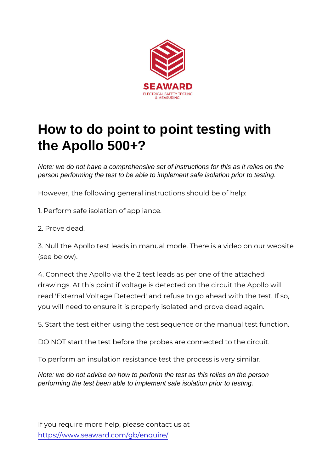## How to do point to point testing with the Apollo 500+?

Note: we do not have a comprehensive set of instructions for this as it relies on the person performing the test to be able to implement safe isolation prior to testing.

However, the following general instructions should be of help:

1. Perform safe isolation of appliance.

2. Prove dead.

3. Null the Apollo test leads in manual mode. There is a vide (see below).

4. Connect the Apollo via the 2 test leads as per one of the a drawings. At this point if voltage is detected on the circuit the read 'External Voltage Detected' and refuse to go ahead with you will need to ensure it is properly isolated and prove dead

5. Start the test either using the test sequence or the manual

DO NOT start the test before the probes are connected to the

To perform an insulation resistance test the process is very similar

Note: we do not advise on how to perform the test as this relies on the person performing the test been able to implement safe isolation prior to testing.

If you require more help, please contact us at [https://www.seaward.com/g](https://www.seaward.com/gb/enquiry/)b/enquire/